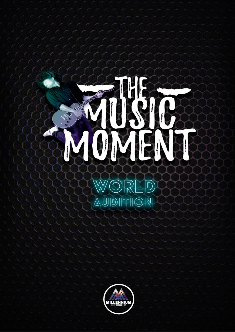# **Windows**  $\begin{picture}(20,20) \put(0,0){\vector(1,0){10}} \put(15,0){\vector(1,0){10}} \put(15,0){\vector(1,0){10}} \put(15,0){\vector(1,0){10}} \put(15,0){\vector(1,0){10}} \put(15,0){\vector(1,0){10}} \put(15,0){\vector(1,0){10}} \put(15,0){\vector(1,0){10}} \put(15,0){\vector(1,0){10}} \put(15,0){\vector(1,0){10}} \put(15,0){\vector(1,0){10}} \put(15,0){\vector(1$

ORLD W NOITION

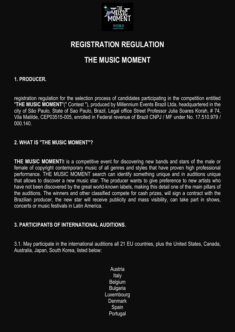

# **REGISTRATION REGULATION**

# **THE MUSIC MOMENT**

#### **1. PRODUCER.**

registration regulation for the selection process of candidates participating in the competition entitled "**THE MUSIC MOMENT**"(" Contest "), produced by Millennium Events Brazil Ltda, headquartered in the city of São Paulo, State of Sao Paulo, Brazil, Legal office Street Professor Julia Soares Korah, # 74, Vila Matilde, CEP03515-005, enrolled in Federal revenue of Brazil CNPJ / MF under No. 17.510.979 / 000.140.

#### **2. WHAT IS "THE MUSIC MOMENT"?**

**THE MUSIC MOMENTI**t is a competitive event for discovering new bands and stars of the male or female of copyright contemporary music of all genres and styles that have proven high professional performance. THE MUSIC MOMENT search can identify something unique and in auditions unique that allows to discover a new music star. The producer wants to give preference to new artists who have not been discovered by the great world-known labels, making this detail one of the main pillars of the auditions. The winners and other classified compete for cash prizes, will sign a contract with the Brazilian producer, the new star will receive publicity and mass visibility, can take part in shows, concerts or music festivals in Latin America.

#### **3. PARTICIPANTS OF INTERNATIONAL AUDITIONS.**

3.1. May participate in the international auditions all 21 EU countries, plus the United States, Canada, Australia, Japan, South Korea, listed below:

> Austria **Italy Belgium Bulgaria** Luxembourg **Denmark Spain** Portugal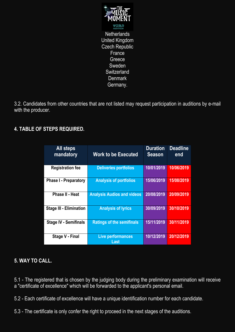

**Netherlands** United Kingdom Czech Republic **France** Greece Sweden **Switzerland Denmark** Germany.

3.2. Candidates from other countries that are not listed may request participation in auditions by e-mail with the producer.

# **4. TABLE OF STEPS REQUIRED.**

| <b>All steps</b><br>mandatory  | <b>Work to be Executed</b>        | <b>Duration</b><br><b>Season</b> | <b>Deadline</b><br>end |
|--------------------------------|-----------------------------------|----------------------------------|------------------------|
| <b>Registration fee</b>        | <b>Deliveries portfolios</b>      | 10/01/2019                       | 10/06/2019             |
| <b>Phase I - Preparatory</b>   | <b>Analysis of portfolios</b>     | 15/06/2019                       | 15/08/2019             |
| Phase II - Heat                | <b>Analysis Audios and videos</b> | 20/08/2019                       | 20/09/2019             |
| <b>Stage III - Elimination</b> | <b>Analysis of lyrics</b>         | 30/09/2019                       | 30/10/2019             |
| <b>Stage IV - Semifinals</b>   | <b>Ratings of the semifinals</b>  | 15/11/2019                       | 30/11/2019             |
| Stage V - Final                | <b>Live performances</b><br>Last  | 10/12/2019                       | 20/12/2019             |

# **5. WAY TO CALL.**

5.1 - The registered that is chosen by the judging body during the preliminary examination will receive a "certificate of excellence" which will be forwarded to the applicant's personal email.

5.2 - Each certificate of excellence will have a unique identification number for each candidate.

5.3 - The certificate is only confer the right to proceed in the next stages of the auditions.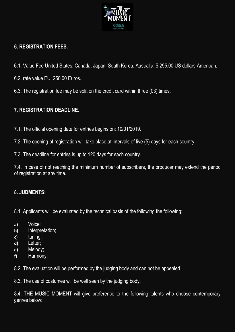

# **6. REGISTRATION FEES.**

- 6.1. Value Fee United States, Canada, Japan, South Korea, Australia: \$ 295.00 US dollars American.
- 6.2. rate value EU: 250,00 Euros.
- 6.3. The registration fee may be split on the credit card within three (03) times.

# **7. REGISTRATION DEADLINE.**

- 7.1. The official opening date for entries begins on: 10/01/2019.
- 7.2. The opening of registration will take place at intervals of five (5) days for each country.
- 7.3. The deadline for entries is up to 120 days for each country.

7.4. In case of not reaching the minimum number of subscribers, the producer may extend the period of registration at any time.

# **8. JUDMENTS:**

8.1. Applicants will be evaluated by the technical basis of the following the following:

- **a)** Voice;
- **b)** Interpretation;
- **c)** tuning;
- **d)** Letter;
- **e)** Melody;
- **f)** Harmony;

8.2. The evaluation will be performed by the judging body and can not be appealed.

8.3. The use of costumes will be well seen by the judging body.

8.4. THE MUSIC MOMENT will give preference to the following talents who choose contemporary genres below: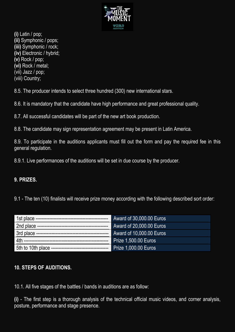

**(i)** Latin / pop; **(ii)** Symphonic / pops; **(iii)** Symphonic / rock; **(iv)** Electronic / hybrid; **(v)** Rock / pop; **(vi)** Rock / metal; (vii) Jazz / pop;

(viii) Country;

8.5. The producer intends to select three hundred (300) new international stars.

8.6. It is mandatory that the candidate have high performance and great professional quality.

8.7. All successful candidates will be part of the new art book production.

8.8. The candidate may sign representation agreement may be present in Latin America.

8.9. To participate in the auditions applicants must fill out the form and pay the required fee in this general regulation.

8.9.1. Live performances of the auditions will be set in due course by the producer.

#### **9. PRIZES.**

9.1 - The ten (10) finalists will receive prize money according with the following described sort order:

|                    | Award of 30,000.00 Euros    |
|--------------------|-----------------------------|
|                    | Award of 20,000.00 Euros    |
|                    | Award of 10,000.00 Euros    |
| __________________ | <b>Prize 1,500.00 Euros</b> |
|                    | <b>Prize 1,000.00 Euros</b> |

#### **10. STEPS OF AUDITIONS.**

10.1. All five stages of the battles / bands in auditions are as follow:

**(i)** - The first step is a thorough analysis of the technical official music videos, and corner analysis, posture, performance and stage presence.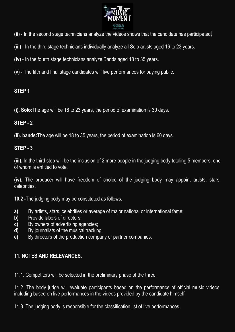

- **(ii)** In the second stage technicians analyze the videos shows that the candidate has participated.
- **(iii)** In the third stage technicians individually analyze all Solo artists aged 16 to 23 years.
- **(iv)** In the fourth stage technicians analyze Bands aged 18 to 35 years.
- **(v)** The fifth and final stage candidates will live performances for paying public.

# **STEP 1**

**(i). Solo:**The age will be 16 to 23 years, the period of examination is 30 days.

# **STEP - 2**

**(ii). bands:**The age will be 18 to 35 years, the period of examination is 60 days.

# **STEP - 3**

**(iii).** In the third step will be the inclusion of 2 more people in the judging body totaling 5 members, one of whom is entitled to vote.

**(iv).** The producer will have freedom of choice of the judging body may appoint artists, stars, celebrities.

**10.2 -**The judging body may be constituted as follows:

- **a)** By artists, stars, celebrities or average of major national or international fame;
- **b)** Provide labels of directors;
- **c)** By owners of advertising agencies;
- **d)** By journalists of the musical tracking.
- **e)** By directors of the production company or partner companies.

# **11. NOTES AND RELEVANCES.**

11.1. Competitors will be selected in the preliminary phase of the three.

11.2. The body judge will evaluate participants based on the performance of official music videos, including based on live performances in the videos provided by the candidate himself.

11.3. The judging body is responsible for the classification list of live performances.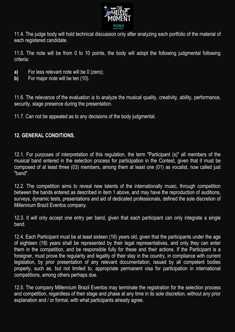

11.4. The judge body will hold technical discussion only after analyzing each portfolio of the material of each registered candidate.

11.5. The note will be from 0 to 10 points, the body will adopt the following judgmental following criteria:

- **a)** For less relevant note will be 0 (zero);
- **b)** For major note will be ten (10).

11.6. The relevance of the evaluation is to analyze the musical quality, creativity, ability, performance, security, stage presence during the presentation.

11.7. Can not be appealed as to any decisions of the body judgmental.

#### **12. GENERAL CONDITIONS.**

12.1. For purposes of interpretation of this regulation, the term "Participant (s)" all members of the musical band entered in the selection process for participation in the Contest, given that it must be composed of at least three (03) members, among them at least one (01) as vocalist, now called just "band".

12.2. The competition aims to reveal new talents of the internationally music, through competition between the bands entered as described in item 1 above, and may have the reproduction of auditions, surveys, dynamic tests, presentations and aid of dedicated professionals, defined the sole discretion of Millennium Brazil Eventos company.

12.3. It will only accept one entry per band, given that each participant can only integrate a single band.

12.4. Each Participant must be at least sixteen (16) years old, given that the participants under the age of eighteen (18) years shall be represented by their legal representatives, and only they can enter them in the competition, and be responsible fully for these and their actions. If the Participant is a foreigner, must prove the regularity and legality of their stay in the country, in compliance with current legislation, by prior presentation of any relevant documentation, issued by all competent bodies properly, such as, but not limited to, appropriate permanent visa for participation in international competitions, among others perhaps due.

12.5. The company Millennium Brazil Eventos may terminate the registration for the selection process and competition, regardless of their stage and phase at any time in its sole discretion, without any prior explanation and / or formal, with what participants already agree.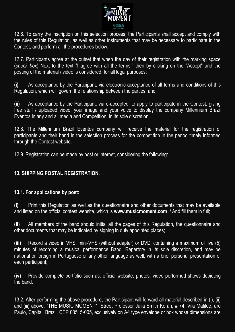

12.6. To carry the inscription on this selection process, the Participants shall accept and comply with the rules of this Regulation, as well as other instruments that may be necessary to participate in the Contest, and perform all the procedures below.

12.7. Participants agree at the outset that when the day of their registration with the marking space (*check box*) Next to the text "I agree with all the terms," then by clicking on the "Accept" and the posting of the material / video is considered, for all legal purposes:

**(i)** As acceptance by the Participant, via electronic acceptance of all terms and conditions of this Regulation, which will govern the relationship between the parties; and

**(ii)** As acceptance by the Participant, via e-accepted, to apply to participate in the Contest, giving free stuff / uploaded video, your image and your voice to display the company Millennium Brazil Eventos in any and all media and Competition, in its sole discretion.

12.8. The Millennium Brazil Eventos company will receive the material for the registration of participants and their band in the selection process for the competition in the period timely informed through the Contest website.

12.9. Registration can be made by post or internet, considering the following:

# **13. SHIPPING POSTAL REGISTRATION.**

#### **13.1. For applications by post:**

**(i)** Print this Regulation as well as the questionnaire and other documents that may be available and listed on the official contest website, which is **[www.musicmoment.com](http://www.musicmoment.com/)** / And fill them in full;

**(ii)** All members of the band should initial all the pages of this Regulation, the questionnaire and other documents that may be indicated by signing in duly appointed places;

**(iii)** Record a video in VHS, mini-VHS (without adapter) or DVD, containing a maximum of five (5) minutes of recording a musical performance Band, Repertory in its sole discretion, and may be national or foreign in Portuguese or any other language as well, with a brief personal presentation of each participant;

**(iv)** Provide complete portfolio such as: official website, photos, video performed shows depicting the band.

13.2. After performing the above procedure, the Participant will forward all material described in (i), (ii) and (iii) above: "THE MUSIC MOMENT" Street Professor Julia Smith Korah, # 74, Vila Matilde, are Paulo, Capital, Brazil, CEP 03515-005, exclusively on A4 type envelope or box whose dimensions are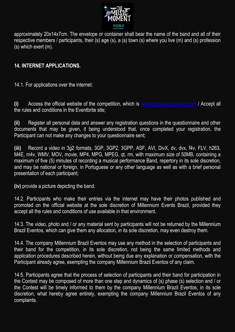

approximately 20x14x7cm. The envelope or container shall bear the name of the band and all of their respective members / participants, their (s) age (s), a (s) town (s) where you live (m) and (s) profession (s) which exert (m).

# **14. INTERNET APPLICATIONS.**

14.1. For applications over the internet:

**(i)** Access the official website of the competition, which is [www.themusicmoment.com](http://www.themusicmoment.com/) / Accept all the rules and conditions in the Eventbrite site;

**(ii)** Register all personal data and answer any registration questions in the questionnaire and other documents that may be given, it being understood that, once completed your registration, the Participant can not make any changes to your questionnaire sent;

**(iii)** Record a video in 3g2 formats, 3GP, 3GP2, 3GPP, ASF, AVI, DivX, dv, dvx, f4v, FLV, h263, M4E, m4v, WMV, MOV, movie, MP4, MPG, MPEG, qt, rm, with maximum size of 50MB, containing a maximum of five (5) minutes of recording a musical performance Band, repertory in its sole discretion, and may be national or foreign, in Portuguese or any other language as well as with a brief personal presentation of each participant;

**(iv)** provide a picture depicting the band.

14.2. Participants who make their entries via the internet may have their photos published and promoted on the official website at the sole discretion of Millennium Events Brazil, provided they accept all the rules and conditions of use available in that environment.

14.3. The video, photo and / or any material sent by participants will not be returned by the Millennium Brazil Eventos, which can give them any allocation, in its sole discretion, may even destroy them.

14.4. The company Millennium Brazil Eventos may use any method in the selection of participants and their band for the competition, in its sole discretion, not being the same limited methods and application procedures described herein, without being due any explanation or compensation, with the Participant already agree, exempting the company Millennium Brazil Eventos of any claim.

14.5. Participants agree that the process of selection of participants and their band for participation in the Contest may be composed of more than one step and dynamics of (s) phase (s) selection and / or the Contest will be timely informed to them by the company Millennium Brazil Eventos, in its sole discretion, what hereby agree entirely, exempting the company Millennium Brazil Eventos of any complaints.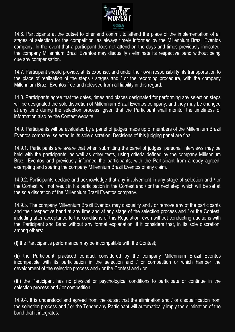

14.6. Participants at the outset to offer and commit to attend the place of the implementation of all stages of selection for the competition, as always timely informed by the Millennium Brazil Eventos company. In the event that a participant does not attend on the days and times previously indicated, the company Millennium Brazil Eventos may disqualify / eliminate its respective band without being due any compensation.

14.7. Participant should provide, at its expense, and under their own responsibility, its transportation to the place of realization of the steps / stages and / or the recording procedure, with the company Millennium Brazil Eventos free and released from all liability in this regard.

14.8. Participants agree that the dates, times and places designated for performing any selection steps will be designated the sole discretion of Millennium Brazil Eventos company, and they may be changed at any time during the selection process, given that the Participant shall monitor the timeliness of information also by the Contest website.

14.9. Participants will be evaluated by a panel of judges made up of members of the Millennium Brazil Eventos company, selected in its sole discretion. Decisions of this judging panel are final.

14.9.1. Participants are aware that when submitting the panel of judges, personal interviews may be held with the participants, as well as other tests, using criteria defined by the company Millennium Brazil Eventos and previously informed the participants, with the Participant from already agreed, exempting and sparing the company Millennium Brazil Eventos of any claim.

14.9.2. Participants declare and acknowledge that any involvement in any stage of selection and / or the Contest, will not result in his participation in the Contest and / or the next step, which will be set at the sole discretion of the Millennium Brazil Eventos company.

14.9.3. The company Millennium Brazil Eventos may disqualify and / or remove any of the participants and their respective band at any time and at any stage of the selection process and / or the Contest, including after acceptance to the conditions of this Regulation, even without conducting auditions with the Participant and Band without any formal explanation, if it considers that, in its sole discretion, among others:

**(I)** the Participant's performance may be incompatible with the Contest;

**(Ii)** the Participant practiced conduct considered by the company Millennium Brazil Eventos incompatible with its participation in the selection and / or competition or which hamper the development of the selection process and / or the Contest and / or

**(iii)** the Participant has no physical or psychological conditions to participate or continue in the selection process and / or competition.

14.9.4. It is understood and agreed from the outset that the elimination and / or disqualification from the selection process and / or the Tender any Participant will automatically imply the elimination of the band that it integrates.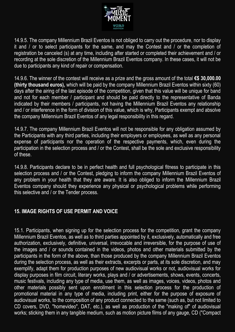

14.9.5. The company Millennium Brazil Eventos is not obliged to carry out the procedure, nor to display it and / or to select participants for the same, and may the Contest and / or the completion of registration be canceled (s) at any time, including after started or completed their achievement and / or recording at the sole discretion of the Millennium Brazil Eventos company. In these cases, it will not be due to participants any kind of repair or compensation.

14.9.6. The winner of the contest will receive as a prize and the gross amount of the total **€\$ 30,000.00 (thirty thousand euros),** which will be paid by the company Millennium Brazil Eventos within sixty (60) days after the airing of the last episode of the competition, given that this value will be unique for band and not for each member / participant and should be paid directly to the representative of Banda indicated by their members / participants, not having the Millennium Brazil Eventos any relationship and / or interference in the form of division of this value, which is why, Participants exempt and absolve the company Millennium Brazil Eventos of any legal responsibility in this regard.

14.9.7. The company Millennium Brazil Eventos will not be responsible for any obligation assumed by the Participants with any third parties, including their employers or employees, as well as any personal expense of participants nor the operation of the respective payments, which, even during the participation in the selection process and / or the Contest, shall be the sole and exclusive responsibility of these.

14.9.8. Participants declare to be in perfect health and full psychological fitness to participate in this selection process and / or the Contest, pledging to inform the company Millennium Brazil Eventos of any problem in your health that they are aware. It is also obliged to inform the Millennium Brazil Eventos company should they experience any physical or psychological problems while performing this selective and / or the Tender process.

#### **15. IMAGE RIGHTS OF USE PERMIT AND VOICE**

15.1. Participants, when signing up for the selection process for the competition, grant the company Millennium Brazil Eventos, as well as to third parties appointed by it, exclusively, automatically and free authorization, exclusively, definitive, universal, irrevocable and irreversible, for the purpose of use of the images and / or sounds contained in the videos, photos and other materials submitted by the participants in the form of the above, than those produced by the company Millennium Brazil Eventos during the selection process, as well as their extracts, excerpts or parts, at its sole discretion, and may exemplify, adapt them for production purposes of new audiovisual works or not, audiovisual works for display purposes in film circuit, literary works, plays and / or advertisements, shows, events, concerts, music festivals, including any type of media, use them, as well as images, voices, videos, photos and other materials possibly sent upon enrollment in this selection process for the production of promotional material in any type of media, including print, either for the purpose of exposure of audiovisual works, to the composition of any product connected to the same (such as, but not limited to CD covers, DVD, "homevideo", DAT, etc.), as well as production of the "making of" of audiovisual works; sticking them in any tangible medium, such as motion picture films of any gauge, CD ("Compact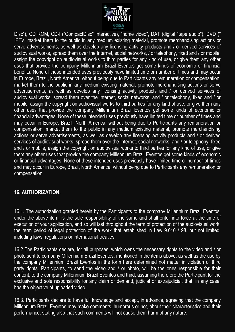

Disc"), CD ROM, CD-I ("CompactDisc" Interactive), "home video", DAT (digital "tape audio"), DVD (" IPTV, market them to the public in any medium existing material, promote merchandising actions or serve advertisements, as well as develop any licensing activity products and / or derived services of audiovisual works, spread them over the Internet, social networks, / or telephony, fixed and / or mobile, assign the copyright on audiovisual works to third parties for any kind of use, or give them any other uses that provide the company Millennium Brazil Eventos get some kinds of economic or financial benefits. None of these intended uses previously have limited time or number of times and may occur in Europe, Brazil, North America, without being due to Participants any remuneration or compensation. market them to the public in any medium existing material, promote merchandising actions or serve advertisements, as well as develop any licensing activity products and / or derived services of audiovisual works, spread them over the Internet, social networks, and / or telephony, fixed and / or mobile, assign the copyright on audiovisual works to third parties for any kind of use, or give them any other uses that provide the company Millennium Brazil Eventos get some kinds of economic or financial advantages. None of these intended uses previously have limited time or number of times and may occur in Europe, Brazil, North America, without being due to Participants any remuneration or compensation. market them to the public in any medium existing material, promote merchandising actions or serve advertisements, as well as develop any licensing activity products and / or derived services of audiovisual works, spread them over the Internet, social networks, and / or telephony, fixed and / or mobile, assign the copyright on audiovisual works to third parties for any kind of use, or give them any other uses that provide the company Millennium Brazil Eventos get some kinds of economic or financial advantages. None of these intended uses previously have limited time or number of times and may occur in Europe, Brazil, North America, without being due to Participants any remuneration or compensation.

#### **16. AUTHORIZATION.**

16.1. The authorization granted herein by the Participants to the company Millennium Brazil Eventos, under the above item, is the sole responsibility of the same and shall enter into force at the time of execution of your application, and so will last throughout the term of protection of the audiovisual work. the term period of legal protection of the work that established in Law 9.610 / 98, but not limited, including laws, regulations or international treaties.

16.2 The Participants declare, for all purposes, which owns the necessary rights to the video and / or photo sent to company Millennium Brazil Eventos, mentioned in the items above, as well as the use by the company Millennium Brazil Eventos in the form here determined not matter in violation of third party rights. Participants, to send the video and / or photo, will be the ones responsible for their content, to the company Millennium Brazil Eventos and third, assuming therefore the Participant for the exclusive and sole responsibility for any claim or demand, judicial or extrajudicial, that, in any case, has the objective of uploaded video.

16.3. Participants declare to have full knowledge and accept, in advance, agreeing that the company Millennium Brazil Eventos may make comments, humorous or not, about their characteristics and their performance, stating also that such comments will not cause them harm of any nature.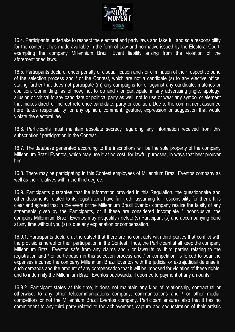

16.4. Participants undertake to respect the electoral and party laws and take full and sole responsibility for the content it has made available in the form of Law and normative issued by the Electoral Court, exempting the company Millennium Brazil Event liability arising from the violation of the aforementioned laws.

16.5. Participants declare, under penalty of disqualification and / or elimination of their respective band of the selection process and / or the Contest, which are not a candidate (s) to any elective office, stating further that does not participate (m) any campaigns for or against any candidate, matches or coalition. Committing, as of now, not to do and / or participate in any advertising jingle, apology, allusion or critical to any candidate or political party as well, not to use or wear any symbol or element that makes direct or indirect reference candidate, party or coalition. Due to the commitment assumed here, takes responsibility for any opinion, comment, gesture, expression or suggestion that would violate the electoral law.

16.6. Participants must maintain absolute secrecy regarding any information received from this subscription / participation in the Contest.

16.7. The database generated according to the inscriptions will be the sole property of the company Millennium Brazil Eventos, which may use it at no cost, for lawful purposes, in ways that best prouver him.

16.8. There may be participating in this Contest employees of Millennium Brazil Eventos company as well as their relatives within the third degree.

16.9. Participants guarantee that the information provided in this Regulation, the questionnaire and other documents related to its registration, have full truth, assuming full responsibility for them. It is clear and agreed that in the event of the Millennium Brazil Eventos company realize the falsity of any statements given by the Participants, or if these are considered incomplete / inconclusive, the company Millennium Brazil Eventos may disqualify / delete (s) Participant (s) and accompanying band at any time without you (s) is due any explanation or compensation.

16.9.1. Participants declare at the outset that there are no contracts with third parties that conflict with the provisions hereof or their participation in the Contest. Thus, the Participant shall keep the company Millennium Brazil Eventos safe from any claims and / or lawsuits by third parties relating to the registration and / or participation in this selection process and / or competition, is forced to bear the expenses incurred the company Millennium Brazil Eventos with the judicial or extrajudicial defense in such demands and the amount of any compensation that it will be imposed for violation of these rights, and to indemnify the Millennium Brazil Eventos backwards, if doomed to payment of any amounts.

16.9.2. Participant states at this time, it does not maintain any kind of relationship, contractual or otherwise, to any other telecommunications company, communications and / or other media, competitors or not the Millennium Brazil Eventos company. Participant ensures also that it has no commitment to any third party related to the achievement, capture and sequestration of their artistic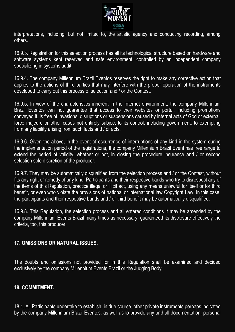

interpretations, including, but not limited to, the artistic agency and conducting recording, among others.

16.9.3. Registration for this selection process has all its technological structure based on hardware and software systems kept reserved and safe environment, controlled by an independent company specializing in systems audit.

16.9.4. The company Millennium Brazil Eventos reserves the right to make any corrective action that applies to the actions of third parties that may interfere with the proper operation of the instruments developed to carry out this process of selection and / or the Contest.

16.9.5. In view of the characteristics inherent in the Internet environment, the company Millennium Brazil Eventos can not guarantee that access to their websites or portal, including promotions conveyed it, is free of invasions, disruptions or suspensions caused by internal acts of God or external, force majeure or other cases not entirely subject to its control, including government, to exempting from any liability arising from such facts and / or acts.

16.9.6. Given the above, in the event of occurrence of interruptions of any kind in the system during the implementation period of the registrations, the company Millennium Brazil Event has free range to extend the period of validity, whether or not, in closing the procedure insurance and / or second selection sole discretion of the producer.

16.9.7. They may be automatically disqualified from the selection process and / or the Contest, without fits any right or remedy of any kind, Participants and their respective bands who try to disrespect any of the items of this Regulation, practice illegal or illicit act, using any means unlawful for itself or for third benefit, or even who violate the provisions of national or international law Copyright Law. In this case, the participants and their respective bands and / or third benefit may be automatically disqualified.

16.9.8. This Regulation, the selection process and all entered conditions it may be amended by the company Millennium Events Brazil many times as necessary, guaranteed its disclosure effectively the criteria, too, this producer.

#### **17. OMISSIONS OR NATURAL ISSUES.**

The doubts and omissions not provided for in this Regulation shall be examined and decided exclusively by the company Millennium Events Brazil or the Judging Body.

#### **18. COMMITMENT.**

18.1. All Participants undertake to establish, in due course, other private instruments perhaps indicated by the company Millennium Brazil Eventos, as well as to provide any and all documentation, personal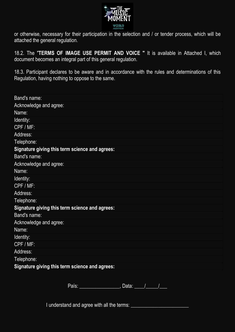

or otherwise, necessary for their participation in the selection and / or tender process, which will be attached the general regulation.

18.2. The "**TERMS OF IMAGE USE PERMIT AND VOICE "** It is available in Attached I, which document becomes an integral part of this general regulation.

18.3. Participant declares to be aware and in accordance with the rules and determinations of this Regulation, having nothing to oppose to the same.

| Band's name:                                   |
|------------------------------------------------|
| Acknowledge and agree:                         |
| Name:                                          |
| Identity:                                      |
| CPF / MF:                                      |
| Address:                                       |
| Telephone:                                     |
| Signature giving this term science and agrees: |
| <b>Band's name:</b>                            |
| Acknowledge and agree:                         |
| Name:                                          |
| Identity:                                      |
| CPF / MF:                                      |
| Address:                                       |
| Telephone:                                     |
| Signature giving this term science and agrees: |
| Band's name:                                   |
| Acknowledge and agree:                         |
| Name:                                          |
| Identity:                                      |
| CPF / MF:                                      |
| Address:                                       |
| Telephone:                                     |
| Signature giving this term science and agrees: |
|                                                |

País: \_\_\_\_\_\_\_\_\_\_\_\_\_\_\_\_, Data: \_\_\_\_/\_\_\_\_\_/\_\_\_

I understand and agree with all the terms: \_\_\_\_\_\_\_\_\_\_\_\_\_\_\_\_\_\_\_\_\_\_\_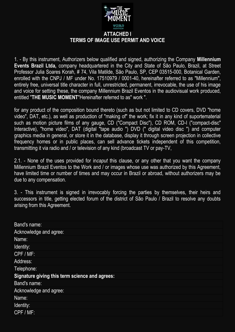

1. - By this instrument, Authorizers below qualified and signed, authorizing the Company **Millennium Events Brazil Ltda,** company headquartered in the City and State of São Paulo, Brazil, at Street Professor Julia Soares Korah, # 74, Vila Matilde, São Paulo, SP, CEP 03515-000, Botanical Garden, enrolled with the CNPJ / MF under No. 17510979 / 0001-40, hereinafter referred to as "Millennium", entirely free, universal title character in full, unrestricted, permanent, irrevocable, the use of his image and voice for setting these, the company Millennium Brazil Eventos in the audiovisual work produced, entitled "**THE MUSIC MOMENT**"Hereinafter referred to as" work ".

for any product of the composition bound thereto (such as but not limited to CD covers, DVD "home video", DAT, etc.), as well as production of "making of" the work; fix it in any kind of suportematerial such as motion picture films of any gauge, CD ("Compact Disc"), CD ROM, CD-I ("compact-disc" Interactive), "home video", DAT (digital "tape audio ") DVD (" digital video disc ") and computer graphics media in general, or store it in the database, display it through screen projection in collective frequency homes or in public places, can sell advance tickets independent of this competition, transmitting it via radio and / or television of any kind (broadcast TV or pay-TV,

2.1. - None of the uses provided for in*caput* this clause, or any other that you want the company Millennium Brazil Eventos to the Work and / or images whose use was authorized by this Agreement, have limited time or number of times and may occur in Brazil or abroad, without authorizers may be due to any compensation.

3. - This instrument is signed in irrevocably forcing the parties by themselves, their heirs and successors in title, getting elected forum of the district of São Paulo / Brazil to resolve any doubts arising from this Agreement.

| <b>Band's name:</b>                            |
|------------------------------------------------|
| Acknowledge and agree:                         |
| Name:                                          |
| Identity:                                      |
| CPF / MF:                                      |
| Address:                                       |
| Telephone:                                     |
| Signature giving this term science and agrees: |
| <b>Band's name:</b>                            |
| Acknowledge and agree:                         |
| Name:                                          |
| Identity:                                      |
| CPF / MF:                                      |
|                                                |